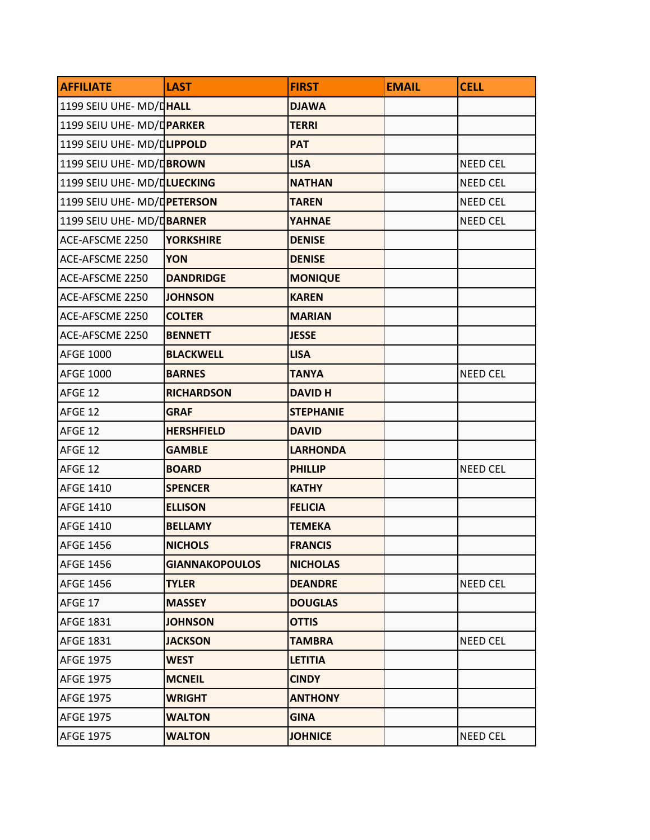| <b>AFFILIATE</b>            | <b>LAST</b>           | <b>FIRST</b>     | <b>EMAIL</b> | <b>CELL</b>     |
|-----------------------------|-----------------------|------------------|--------------|-----------------|
| 1199 SEIU UHE- MD/DHALL     |                       | <b>DJAWA</b>     |              |                 |
| 1199 SEIU UHE- MD/DPARKER   |                       | <b>TERRI</b>     |              |                 |
| 1199 SEIU UHE- MD/DLIPPOLD  |                       | <b>PAT</b>       |              |                 |
| 1199 SEIU UHE- MD/DBROWN    |                       | <b>LISA</b>      |              | <b>NEED CEL</b> |
| 1199 SEIU UHE- MD/DLUECKING |                       | <b>NATHAN</b>    |              | <b>NEED CEL</b> |
| 1199 SEIU UHE- MD/DETERSON  |                       | <b>TAREN</b>     |              | <b>NEED CEL</b> |
| 1199 SEIU UHE- MD/DBARNER   |                       | <b>YAHNAE</b>    |              | <b>NEED CEL</b> |
| ACE-AFSCME 2250             | <b>YORKSHIRE</b>      | <b>DENISE</b>    |              |                 |
| ACE-AFSCME 2250             | <b>YON</b>            | <b>DENISE</b>    |              |                 |
| ACE-AFSCME 2250             | <b>DANDRIDGE</b>      | <b>MONIQUE</b>   |              |                 |
| ACE-AFSCME 2250             | <b>JOHNSON</b>        | <b>KAREN</b>     |              |                 |
| ACE-AFSCME 2250             | <b>COLTER</b>         | <b>MARIAN</b>    |              |                 |
| ACE-AFSCME 2250             | <b>BENNETT</b>        | <b>JESSE</b>     |              |                 |
| <b>AFGE 1000</b>            | <b>BLACKWELL</b>      | <b>LISA</b>      |              |                 |
| <b>AFGE 1000</b>            | <b>BARNES</b>         | <b>TANYA</b>     |              | <b>NEED CEL</b> |
| AFGE 12                     | <b>RICHARDSON</b>     | <b>DAVID H</b>   |              |                 |
| AFGE 12                     | <b>GRAF</b>           | <b>STEPHANIE</b> |              |                 |
| AFGE 12                     | <b>HERSHFIELD</b>     | <b>DAVID</b>     |              |                 |
| AFGE 12                     | <b>GAMBLE</b>         | <b>LARHONDA</b>  |              |                 |
| AFGE 12                     | <b>BOARD</b>          | <b>PHILLIP</b>   |              | <b>NEED CEL</b> |
| <b>AFGE 1410</b>            | <b>SPENCER</b>        | <b>KATHY</b>     |              |                 |
| <b>AFGE 1410</b>            | <b>ELLISON</b>        | <b>FELICIA</b>   |              |                 |
| <b>AFGE 1410</b>            | <b>BELLAMY</b>        | <b>TEMEKA</b>    |              |                 |
| <b>AFGE 1456</b>            | <b>NICHOLS</b>        | <b>FRANCIS</b>   |              |                 |
| <b>AFGE 1456</b>            | <b>GIANNAKOPOULOS</b> | <b>NICHOLAS</b>  |              |                 |
| <b>AFGE 1456</b>            | <b>TYLER</b>          | <b>DEANDRE</b>   |              | <b>NEED CEL</b> |
| AFGE 17                     | <b>MASSEY</b>         | <b>DOUGLAS</b>   |              |                 |
| <b>AFGE 1831</b>            | <b>JOHNSON</b>        | <b>OTTIS</b>     |              |                 |
| <b>AFGE 1831</b>            | <b>JACKSON</b>        | <b>TAMBRA</b>    |              | <b>NEED CEL</b> |
| <b>AFGE 1975</b>            | <b>WEST</b>           | <b>LETITIA</b>   |              |                 |
| <b>AFGE 1975</b>            | <b>MCNEIL</b>         | <b>CINDY</b>     |              |                 |
| <b>AFGE 1975</b>            | <b>WRIGHT</b>         | <b>ANTHONY</b>   |              |                 |
| <b>AFGE 1975</b>            | <b>WALTON</b>         | <b>GINA</b>      |              |                 |
| <b>AFGE 1975</b>            | <b>WALTON</b>         | <b>JOHNICE</b>   |              | <b>NEED CEL</b> |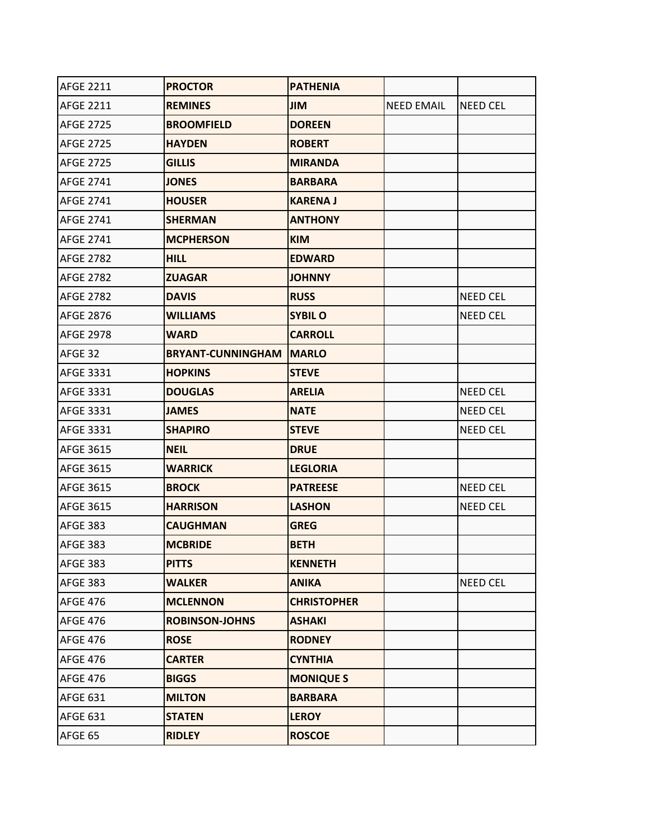| <b>AFGE 2211</b> | <b>PROCTOR</b>                   | <b>PATHENIA</b>    |                   |                 |
|------------------|----------------------------------|--------------------|-------------------|-----------------|
| <b>AFGE 2211</b> | <b>REMINES</b>                   | <b>JIM</b>         | <b>NEED EMAIL</b> | <b>NEED CEL</b> |
| <b>AFGE 2725</b> | <b>BROOMFIELD</b>                | <b>DOREEN</b>      |                   |                 |
| <b>AFGE 2725</b> | <b>HAYDEN</b>                    | <b>ROBERT</b>      |                   |                 |
| <b>AFGE 2725</b> | <b>GILLIS</b>                    | <b>MIRANDA</b>     |                   |                 |
| <b>AFGE 2741</b> | <b>JONES</b>                     | <b>BARBARA</b>     |                   |                 |
| <b>AFGE 2741</b> | <b>HOUSER</b>                    | <b>KARENA J</b>    |                   |                 |
| <b>AFGE 2741</b> | <b>SHERMAN</b>                   | <b>ANTHONY</b>     |                   |                 |
| <b>AFGE 2741</b> | <b>MCPHERSON</b>                 | <b>KIM</b>         |                   |                 |
| <b>AFGE 2782</b> | <b>HILL</b>                      | <b>EDWARD</b>      |                   |                 |
| <b>AFGE 2782</b> | <b>ZUAGAR</b>                    | <b>JOHNNY</b>      |                   |                 |
| <b>AFGE 2782</b> | <b>DAVIS</b>                     | <b>RUSS</b>        |                   | <b>NEED CEL</b> |
| <b>AFGE 2876</b> | <b>WILLIAMS</b>                  | <b>SYBIL O</b>     |                   | <b>NEED CEL</b> |
| <b>AFGE 2978</b> | <b>WARD</b>                      | <b>CARROLL</b>     |                   |                 |
| AFGE 32          | <b>BRYANT-CUNNINGHAM   MARLO</b> |                    |                   |                 |
| <b>AFGE 3331</b> | <b>HOPKINS</b>                   | <b>STEVE</b>       |                   |                 |
| <b>AFGE 3331</b> | <b>DOUGLAS</b>                   | <b>ARELIA</b>      |                   | <b>NEED CEL</b> |
| AFGE 3331        | <b>JAMES</b>                     | <b>NATE</b>        |                   | <b>NEED CEL</b> |
| <b>AFGE 3331</b> | <b>SHAPIRO</b>                   | <b>STEVE</b>       |                   | <b>NEED CEL</b> |
| <b>AFGE 3615</b> | <b>NEIL</b>                      | <b>DRUE</b>        |                   |                 |
| <b>AFGE 3615</b> | <b>WARRICK</b>                   | <b>LEGLORIA</b>    |                   |                 |
| <b>AFGE 3615</b> | <b>BROCK</b>                     | <b>PATREESE</b>    |                   | <b>NEED CEL</b> |
| AFGE 3615        | <b>HARRISON</b>                  | <b>LASHON</b>      |                   | <b>NEED CEL</b> |
| <b>AFGE 383</b>  | <b>CAUGHMAN</b>                  | <b>GREG</b>        |                   |                 |
| <b>AFGE 383</b>  | <b>MCBRIDE</b>                   | <b>BETH</b>        |                   |                 |
| <b>AFGE 383</b>  | <b>PITTS</b>                     | <b>KENNETH</b>     |                   |                 |
| <b>AFGE 383</b>  | <b>WALKER</b>                    | <b>ANIKA</b>       |                   | <b>NEED CEL</b> |
| <b>AFGE 476</b>  | <b>MCLENNON</b>                  | <b>CHRISTOPHER</b> |                   |                 |
| <b>AFGE 476</b>  | <b>ROBINSON-JOHNS</b>            | <b>ASHAKI</b>      |                   |                 |
| <b>AFGE 476</b>  | <b>ROSE</b>                      | <b>RODNEY</b>      |                   |                 |
| <b>AFGE 476</b>  | <b>CARTER</b>                    | <b>CYNTHIA</b>     |                   |                 |
| <b>AFGE 476</b>  | <b>BIGGS</b>                     | <b>MONIQUE S</b>   |                   |                 |
| <b>AFGE 631</b>  | <b>MILTON</b>                    | <b>BARBARA</b>     |                   |                 |
| <b>AFGE 631</b>  | <b>STATEN</b>                    | <b>LEROY</b>       |                   |                 |
| AFGE 65          | <b>RIDLEY</b>                    | <b>ROSCOE</b>      |                   |                 |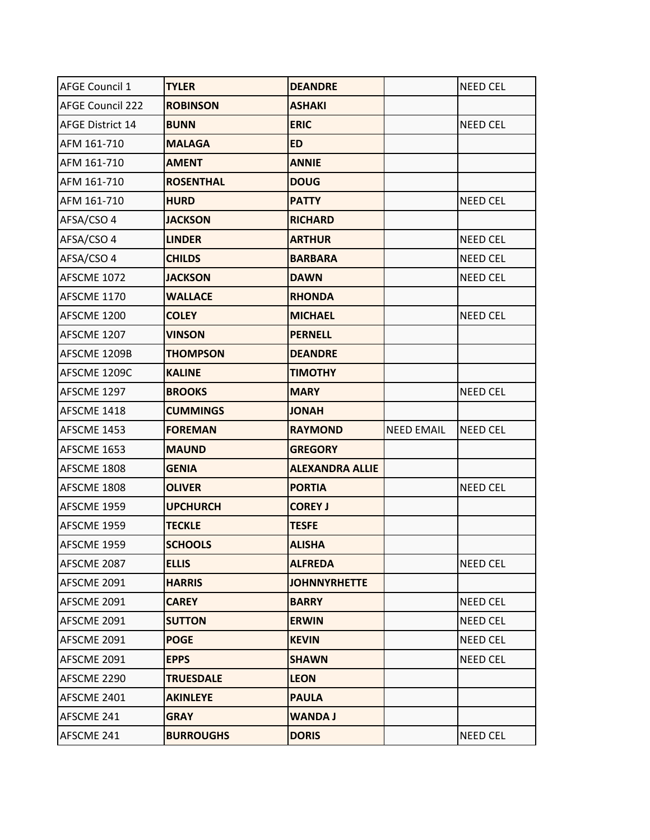| <b>AFGE Council 1</b>   | <b>TYLER</b>     | <b>DEANDRE</b>         |                   | <b>NEED CEL</b> |
|-------------------------|------------------|------------------------|-------------------|-----------------|
| <b>AFGE Council 222</b> | <b>ROBINSON</b>  | <b>ASHAKI</b>          |                   |                 |
| <b>AFGE District 14</b> | <b>BUNN</b>      | <b>ERIC</b>            |                   | <b>NEED CEL</b> |
| AFM 161-710             | <b>MALAGA</b>    | <b>ED</b>              |                   |                 |
| AFM 161-710             | <b>AMENT</b>     | <b>ANNIE</b>           |                   |                 |
| AFM 161-710             | <b>ROSENTHAL</b> | <b>DOUG</b>            |                   |                 |
| AFM 161-710             | <b>HURD</b>      | <b>PATTY</b>           |                   | <b>NEED CEL</b> |
| AFSA/CSO 4              | <b>JACKSON</b>   | <b>RICHARD</b>         |                   |                 |
| AFSA/CSO 4              | <b>LINDER</b>    | <b>ARTHUR</b>          |                   | <b>NEED CEL</b> |
| AFSA/CSO 4              | <b>CHILDS</b>    | <b>BARBARA</b>         |                   | <b>NEED CEL</b> |
| AFSCME 1072             | <b>JACKSON</b>   | <b>DAWN</b>            |                   | <b>NEED CEL</b> |
| AFSCME 1170             | <b>WALLACE</b>   | <b>RHONDA</b>          |                   |                 |
| AFSCME 1200             | <b>COLEY</b>     | <b>MICHAEL</b>         |                   | <b>NEED CEL</b> |
| AFSCME 1207             | <b>VINSON</b>    | <b>PERNELL</b>         |                   |                 |
| AFSCME 1209B            | <b>THOMPSON</b>  | <b>DEANDRE</b>         |                   |                 |
| AFSCME 1209C            | <b>KALINE</b>    | <b>TIMOTHY</b>         |                   |                 |
| AFSCME 1297             | <b>BROOKS</b>    | <b>MARY</b>            |                   | <b>NEED CEL</b> |
| AFSCME 1418             | <b>CUMMINGS</b>  | <b>HANOL</b>           |                   |                 |
| AFSCME 1453             | <b>FOREMAN</b>   | <b>RAYMOND</b>         | <b>NEED EMAIL</b> | <b>NEED CEL</b> |
| AFSCME 1653             | <b>MAUND</b>     | <b>GREGORY</b>         |                   |                 |
| AFSCME 1808             | <b>GENIA</b>     | <b>ALEXANDRA ALLIE</b> |                   |                 |
| AFSCME 1808             | <b>OLIVER</b>    | <b>PORTIA</b>          |                   | <b>NEED CEL</b> |
| AFSCME 1959             | <b>UPCHURCH</b>  | <b>COREY J</b>         |                   |                 |
| AFSCME 1959             | <b>TECKLE</b>    | <b>TESFE</b>           |                   |                 |
| AFSCME 1959             | <b>SCHOOLS</b>   | <b>ALISHA</b>          |                   |                 |
| AFSCME 2087             | <b>ELLIS</b>     | <b>ALFREDA</b>         |                   | <b>NEED CEL</b> |
| AFSCME 2091             | <b>HARRIS</b>    | <b>JOHNNYRHETTE</b>    |                   |                 |
| AFSCME 2091             | <b>CAREY</b>     | <b>BARRY</b>           |                   | NEED CEL        |
| AFSCME 2091             | <b>SUTTON</b>    | <b>ERWIN</b>           |                   | NEED CEL        |
| AFSCME 2091             | <b>POGE</b>      | <b>KEVIN</b>           |                   | NEED CEL        |
| AFSCME 2091             | <b>EPPS</b>      | <b>SHAWN</b>           |                   | NEED CEL        |
| AFSCME 2290             | <b>TRUESDALE</b> | <b>LEON</b>            |                   |                 |
| AFSCME 2401             | <b>AKINLEYE</b>  | <b>PAULA</b>           |                   |                 |
| AFSCME 241              | <b>GRAY</b>      | <b>WANDA J</b>         |                   |                 |
| AFSCME 241              | <b>BURROUGHS</b> | <b>DORIS</b>           |                   | NEED CEL        |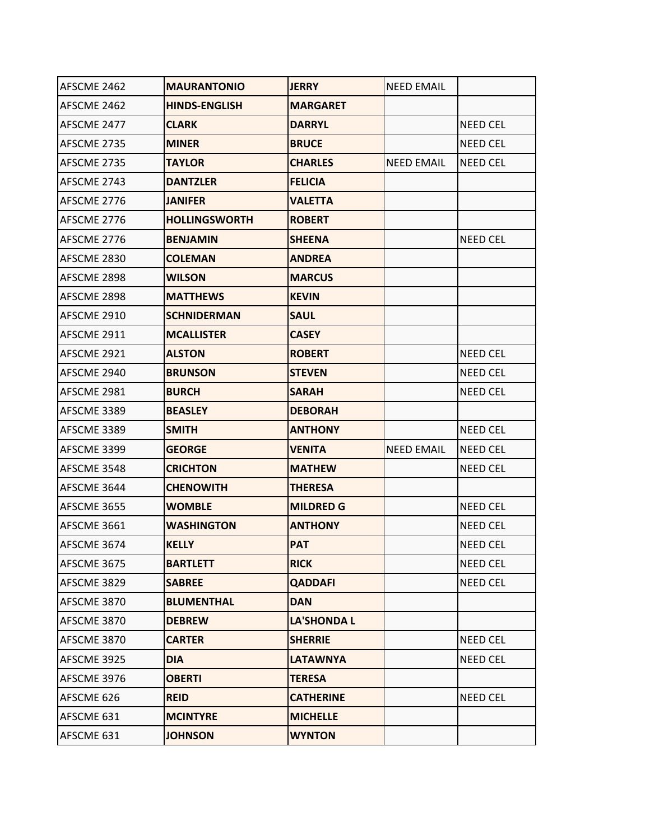| AFSCME 2462 | <b>MAURANTONIO</b>   | <b>JERRY</b>       | <b>NEED EMAIL</b> |                 |
|-------------|----------------------|--------------------|-------------------|-----------------|
| AFSCME 2462 | <b>HINDS-ENGLISH</b> | <b>MARGARET</b>    |                   |                 |
| AFSCME 2477 | <b>CLARK</b>         | <b>DARRYL</b>      |                   | <b>NEED CEL</b> |
| AFSCME 2735 | <b>MINER</b>         | <b>BRUCE</b>       |                   | <b>NEED CEL</b> |
| AFSCME 2735 | <b>TAYLOR</b>        | <b>CHARLES</b>     | <b>NEED EMAIL</b> | <b>NEED CEL</b> |
| AFSCME 2743 | <b>DANTZLER</b>      | <b>FELICIA</b>     |                   |                 |
| AFSCME 2776 | <b>JANIFER</b>       | <b>VALETTA</b>     |                   |                 |
| AFSCME 2776 | <b>HOLLINGSWORTH</b> | <b>ROBERT</b>      |                   |                 |
| AFSCME 2776 | <b>BENJAMIN</b>      | <b>SHEENA</b>      |                   | <b>NEED CEL</b> |
| AFSCME 2830 | <b>COLEMAN</b>       | <b>ANDREA</b>      |                   |                 |
| AFSCME 2898 | <b>WILSON</b>        | <b>MARCUS</b>      |                   |                 |
| AFSCME 2898 | <b>MATTHEWS</b>      | <b>KEVIN</b>       |                   |                 |
| AFSCME 2910 | <b>SCHNIDERMAN</b>   | <b>SAUL</b>        |                   |                 |
| AFSCME 2911 | <b>MCALLISTER</b>    | <b>CASEY</b>       |                   |                 |
| AFSCME 2921 | <b>ALSTON</b>        | <b>ROBERT</b>      |                   | <b>NEED CEL</b> |
| AFSCME 2940 | <b>BRUNSON</b>       | <b>STEVEN</b>      |                   | <b>NEED CEL</b> |
| AFSCME 2981 | <b>BURCH</b>         | <b>SARAH</b>       |                   | <b>NEED CEL</b> |
| AFSCME 3389 | <b>BEASLEY</b>       | <b>DEBORAH</b>     |                   |                 |
| AFSCME 3389 | <b>SMITH</b>         | <b>ANTHONY</b>     |                   | <b>NEED CEL</b> |
| AFSCME 3399 | <b>GEORGE</b>        | <b>VENITA</b>      | <b>NEED EMAIL</b> | <b>NEED CEL</b> |
| AFSCME 3548 | <b>CRICHTON</b>      | <b>MATHEW</b>      |                   | <b>NEED CEL</b> |
| AFSCME 3644 | <b>CHENOWITH</b>     | <b>THERESA</b>     |                   |                 |
| AFSCME 3655 | <b>WOMBLE</b>        | <b>MILDRED G</b>   |                   | <b>NEED CEL</b> |
| AFSCME 3661 | <b>WASHINGTON</b>    | <b>ANTHONY</b>     |                   | <b>NEED CEL</b> |
| AFSCME 3674 | <b>KELLY</b>         | <b>PAT</b>         |                   | <b>NEED CEL</b> |
| AFSCME 3675 | <b>BARTLETT</b>      | <b>RICK</b>        |                   | <b>NEED CEL</b> |
| AFSCME 3829 | <b>SABREE</b>        | <b>QADDAFI</b>     |                   | NEED CEL        |
| AFSCME 3870 | <b>BLUMENTHAL</b>    | <b>DAN</b>         |                   |                 |
| AFSCME 3870 | <b>DEBREW</b>        | <b>LA'SHONDA L</b> |                   |                 |
| AFSCME 3870 | <b>CARTER</b>        | <b>SHERRIE</b>     |                   | <b>NEED CEL</b> |
| AFSCME 3925 | <b>DIA</b>           | <b>LATAWNYA</b>    |                   | NEED CEL        |
| AFSCME 3976 | <b>OBERTI</b>        | <b>TERESA</b>      |                   |                 |
| AFSCME 626  | <b>REID</b>          | <b>CATHERINE</b>   |                   | NEED CEL        |
| AFSCME 631  | <b>MCINTYRE</b>      | <b>MICHELLE</b>    |                   |                 |
| AFSCME 631  | <b>JOHNSON</b>       | <b>WYNTON</b>      |                   |                 |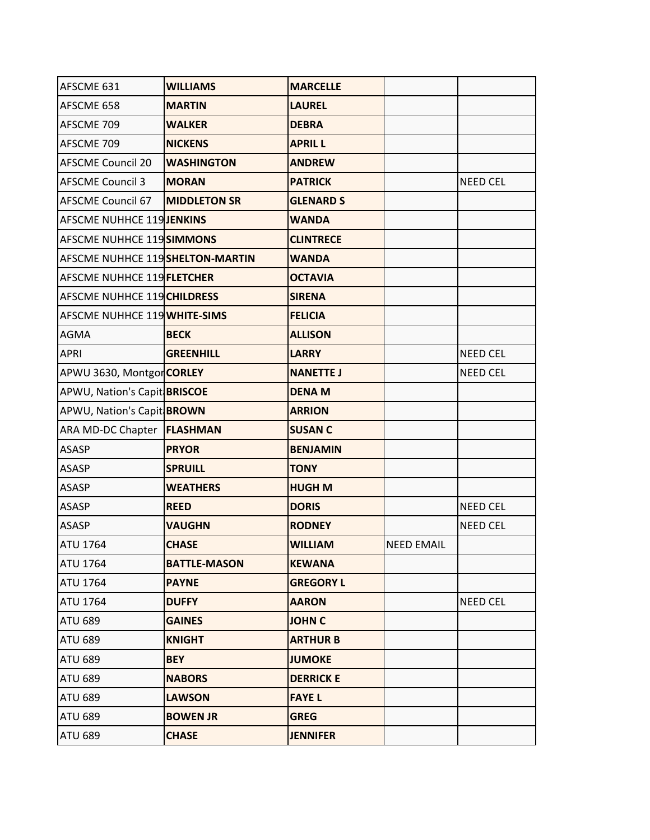| AFSCME 631                       | <b>WILLIAMS</b>     | <b>MARCELLE</b>  |                   |                 |
|----------------------------------|---------------------|------------------|-------------------|-----------------|
| AFSCME 658                       | <b>MARTIN</b>       | <b>LAUREL</b>    |                   |                 |
| AFSCME 709                       | <b>WALKER</b>       | <b>DEBRA</b>     |                   |                 |
| AFSCME 709                       | <b>NICKENS</b>      | <b>APRIL L</b>   |                   |                 |
| <b>AFSCME Council 20</b>         | <b>WASHINGTON</b>   | <b>ANDREW</b>    |                   |                 |
| <b>AFSCME Council 3</b>          | <b>MORAN</b>        | <b>PATRICK</b>   |                   | <b>NEED CEL</b> |
| <b>AFSCME Council 67</b>         | <b>MIDDLETON SR</b> | <b>GLENARD S</b> |                   |                 |
| <b>AFSCME NUHHCE 119 JENKINS</b> |                     | <b>WANDA</b>     |                   |                 |
| AFSCME NUHHCE 119 SIMMONS        |                     | <b>CLINTRECE</b> |                   |                 |
| AFSCME NUHHCE 119 SHELTON-MARTIN |                     | <b>WANDA</b>     |                   |                 |
| AFSCME NUHHCE 119 FLETCHER       |                     | <b>OCTAVIA</b>   |                   |                 |
| AFSCME NUHHCE 119 CHILDRESS      |                     | <b>SIRENA</b>    |                   |                 |
| AFSCME NUHHCE 119 WHITE-SIMS     |                     | <b>FELICIA</b>   |                   |                 |
| <b>AGMA</b>                      | <b>BECK</b>         | <b>ALLISON</b>   |                   |                 |
| <b>APRI</b>                      | <b>GREENHILL</b>    | <b>LARRY</b>     |                   | <b>NEED CEL</b> |
| APWU 3630, Montgor CORLEY        |                     | <b>NANETTE J</b> |                   | <b>NEED CEL</b> |
| APWU, Nation's Capit BRISCOE     |                     | <b>DENA M</b>    |                   |                 |
| APWU, Nation's Capit BROWN       |                     | <b>ARRION</b>    |                   |                 |
| ARA MD-DC Chapter                | <b>FLASHMAN</b>     | <b>SUSAN C</b>   |                   |                 |
| <b>ASASP</b>                     | <b>PRYOR</b>        | <b>BENJAMIN</b>  |                   |                 |
| <b>ASASP</b>                     | <b>SPRUILL</b>      | <b>TONY</b>      |                   |                 |
| <b>ASASP</b>                     | <b>WEATHERS</b>     | <b>HUGH M</b>    |                   |                 |
| <b>ASASP</b>                     | <b>REED</b>         | <b>DORIS</b>     |                   | <b>NEED CEL</b> |
| <b>ASASP</b>                     | <b>VAUGHN</b>       | <b>RODNEY</b>    |                   | <b>NEED CEL</b> |
| <b>ATU 1764</b>                  | <b>CHASE</b>        | <b>WILLIAM</b>   | <b>NEED EMAIL</b> |                 |
| <b>ATU 1764</b>                  | <b>BATTLE-MASON</b> | <b>KEWANA</b>    |                   |                 |
| <b>ATU 1764</b>                  | <b>PAYNE</b>        | <b>GREGORY L</b> |                   |                 |
| <b>ATU 1764</b>                  | <b>DUFFY</b>        | <b>AARON</b>     |                   | NEED CEL        |
| <b>ATU 689</b>                   | <b>GAINES</b>       | <b>JOHN C</b>    |                   |                 |
| <b>ATU 689</b>                   | <b>KNIGHT</b>       | <b>ARTHUR B</b>  |                   |                 |
| <b>ATU 689</b>                   | <b>BEY</b>          | <b>JUMOKE</b>    |                   |                 |
| <b>ATU 689</b>                   | <b>NABORS</b>       | <b>DERRICK E</b> |                   |                 |
| <b>ATU 689</b>                   | <b>LAWSON</b>       | <b>FAYEL</b>     |                   |                 |
| <b>ATU 689</b>                   | <b>BOWEN JR</b>     | <b>GREG</b>      |                   |                 |
| <b>ATU 689</b>                   | <b>CHASE</b>        | <b>JENNIFER</b>  |                   |                 |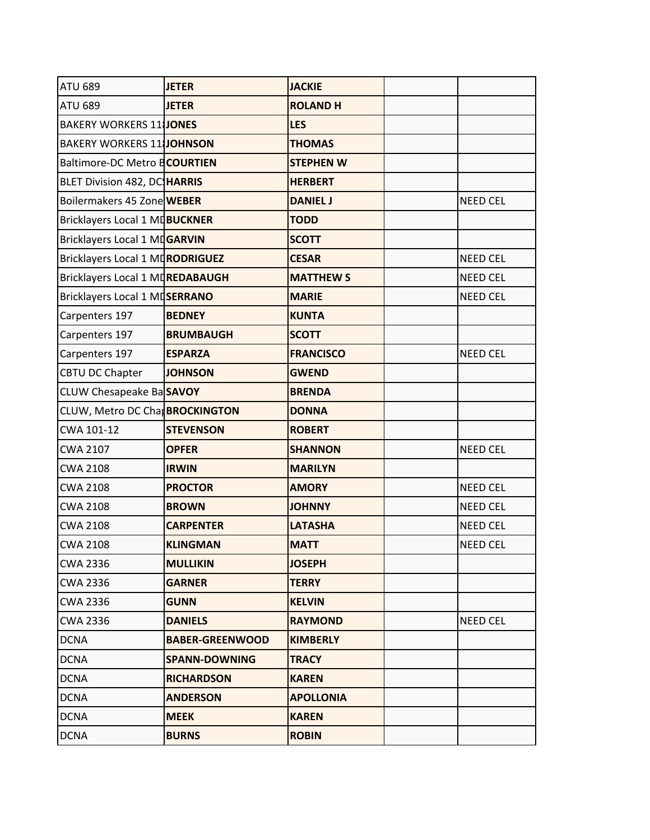| <b>ATU 689</b>                   | <b>JETER</b>           | <b>JACKIE</b>    |                 |
|----------------------------------|------------------------|------------------|-----------------|
| <b>ATU 689</b>                   | <b>JETER</b>           | <b>ROLAND H</b>  |                 |
| <b>BAKERY WORKERS 11JONES</b>    |                        | <b>LES</b>       |                 |
| <b>BAKERY WORKERS 11 JOHNSON</b> |                        | <b>THOMAS</b>    |                 |
| Baltimore-DC Metro BCOURTIEN     |                        | <b>STEPHEN W</b> |                 |
| BLET Division 482, DC HARRIS     |                        | <b>HERBERT</b>   |                 |
| Boilermakers 45 Zone WEBER       |                        | <b>DANIEL J</b>  | <b>NEED CEL</b> |
| Bricklayers Local 1 MDBUCKNER    |                        | <b>TODD</b>      |                 |
| Bricklayers Local 1 MDGARVIN     |                        | <b>SCOTT</b>     |                 |
| Bricklayers Local 1 MDRODRIGUEZ  |                        | <b>CESAR</b>     | <b>NEED CEL</b> |
| Bricklayers Local 1 MDREDABAUGH  |                        | <b>MATTHEW S</b> | <b>NEED CEL</b> |
| Bricklayers Local 1 MDSERRANO    |                        | <b>MARIE</b>     | <b>NEED CEL</b> |
| Carpenters 197                   | <b>BEDNEY</b>          | <b>KUNTA</b>     |                 |
| Carpenters 197                   | <b>BRUMBAUGH</b>       | <b>SCOTT</b>     |                 |
| Carpenters 197                   | <b>ESPARZA</b>         | <b>FRANCISCO</b> | <b>NEED CEL</b> |
| <b>CBTU DC Chapter</b>           | <b>JOHNSON</b>         | <b>GWEND</b>     |                 |
| CLUW Chesapeake BaSAVOY          |                        | <b>BRENDA</b>    |                 |
| CLUW, Metro DC CharBROCKINGTON   |                        | <b>DONNA</b>     |                 |
| CWA 101-12                       | <b>STEVENSON</b>       | <b>ROBERT</b>    |                 |
| <b>CWA 2107</b>                  | <b>OPFER</b>           | <b>SHANNON</b>   | <b>NEED CEL</b> |
| <b>CWA 2108</b>                  | <b>IRWIN</b>           | <b>MARILYN</b>   |                 |
| <b>CWA 2108</b>                  | <b>PROCTOR</b>         | <b>AMORY</b>     | <b>NEED CEL</b> |
| <b>CWA 2108</b>                  | <b>BROWN</b>           | <b>JOHNNY</b>    | <b>NEED CEL</b> |
| <b>CWA 2108</b>                  | <b>CARPENTER</b>       | <b>LATASHA</b>   | <b>NEED CEL</b> |
| <b>CWA 2108</b>                  | <b>KLINGMAN</b>        | <b>MATT</b>      | <b>NEED CEL</b> |
| <b>CWA 2336</b>                  | <b>MULLIKIN</b>        | <b>JOSEPH</b>    |                 |
| <b>CWA 2336</b>                  | <b>GARNER</b>          | <b>TERRY</b>     |                 |
| <b>CWA 2336</b>                  | <b>GUNN</b>            | <b>KELVIN</b>    |                 |
| <b>CWA 2336</b>                  | <b>DANIELS</b>         | <b>RAYMOND</b>   | NEED CEL        |
| <b>DCNA</b>                      | <b>BABER-GREENWOOD</b> | <b>KIMBERLY</b>  |                 |
| <b>DCNA</b>                      | <b>SPANN-DOWNING</b>   | <b>TRACY</b>     |                 |
| <b>DCNA</b>                      | <b>RICHARDSON</b>      | <b>KAREN</b>     |                 |
| <b>DCNA</b>                      | <b>ANDERSON</b>        | <b>APOLLONIA</b> |                 |
| <b>DCNA</b>                      | <b>MEEK</b>            | <b>KAREN</b>     |                 |
| <b>DCNA</b>                      | <b>BURNS</b>           | <b>ROBIN</b>     |                 |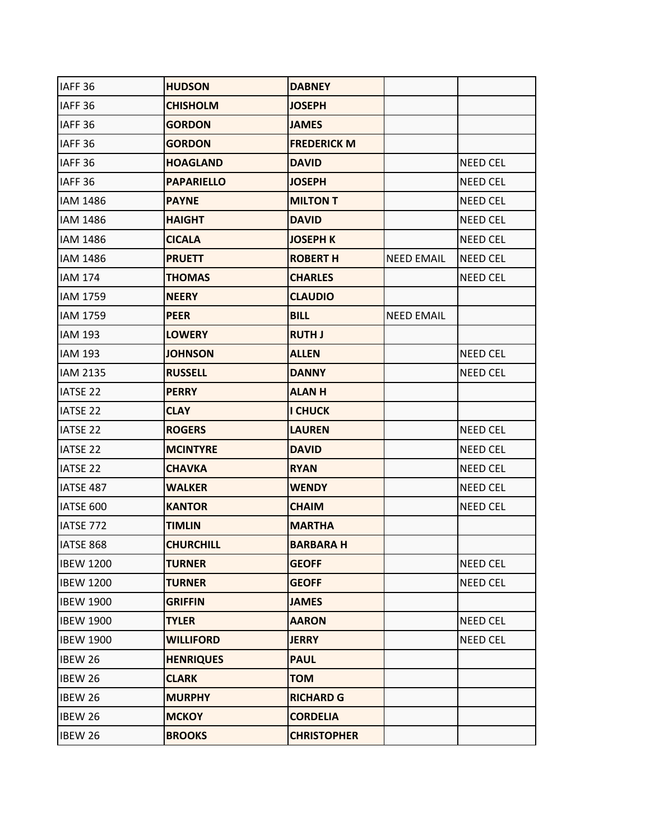| IAFF <sub>36</sub> | <b>HUDSON</b>     | <b>DABNEY</b>      |                   |                 |
|--------------------|-------------------|--------------------|-------------------|-----------------|
| IAFF <sub>36</sub> | <b>CHISHOLM</b>   | <b>JOSEPH</b>      |                   |                 |
| IAFF <sub>36</sub> | <b>GORDON</b>     | <b>JAMES</b>       |                   |                 |
| IAFF <sub>36</sub> | <b>GORDON</b>     | <b>FREDERICK M</b> |                   |                 |
| IAFF <sub>36</sub> | <b>HOAGLAND</b>   | <b>DAVID</b>       |                   | <b>NEED CEL</b> |
| IAFF <sub>36</sub> | <b>PAPARIELLO</b> | <b>JOSEPH</b>      |                   | <b>NEED CEL</b> |
| IAM 1486           | <b>PAYNE</b>      | <b>MILTON T</b>    |                   | <b>NEED CEL</b> |
| IAM 1486           | <b>HAIGHT</b>     | <b>DAVID</b>       |                   | <b>NEED CEL</b> |
| IAM 1486           | <b>CICALA</b>     | <b>JOSEPH K</b>    |                   | <b>NEED CEL</b> |
| IAM 1486           | <b>PRUETT</b>     | <b>ROBERT H</b>    | <b>NEED EMAIL</b> | <b>NEED CEL</b> |
| <b>IAM 174</b>     | <b>THOMAS</b>     | <b>CHARLES</b>     |                   | <b>NEED CEL</b> |
| IAM 1759           | <b>NEERY</b>      | <b>CLAUDIO</b>     |                   |                 |
| IAM 1759           | <b>PEER</b>       | <b>BILL</b>        | <b>NEED EMAIL</b> |                 |
| <b>IAM 193</b>     | <b>LOWERY</b>     | <b>RUTH J</b>      |                   |                 |
| <b>IAM 193</b>     | <b>JOHNSON</b>    | <b>ALLEN</b>       |                   | NEED CEL        |
| <b>IAM 2135</b>    | <b>RUSSELL</b>    | <b>DANNY</b>       |                   | <b>NEED CEL</b> |
| <b>IATSE 22</b>    | <b>PERRY</b>      | <b>ALANH</b>       |                   |                 |
| <b>IATSE 22</b>    | <b>CLAY</b>       | <b>I CHUCK</b>     |                   |                 |
| <b>IATSE 22</b>    | <b>ROGERS</b>     | <b>LAUREN</b>      |                   | NEED CEL        |
| <b>IATSE 22</b>    | <b>MCINTYRE</b>   | <b>DAVID</b>       |                   | NEED CEL        |
| <b>IATSE 22</b>    | <b>CHAVKA</b>     | <b>RYAN</b>        |                   | NEED CEL        |
| IATSE 487          | <b>WALKER</b>     | <b>WENDY</b>       |                   | <b>NEED CEL</b> |
| IATSE 600          | <b>KANTOR</b>     | <b>CHAIM</b>       |                   | NEED CEL        |
| IATSE 772          | <b>TIMLIN</b>     | <b>MARTHA</b>      |                   |                 |
| IATSE 868          | <b>CHURCHILL</b>  | <b>BARBARAH</b>    |                   |                 |
| <b>IBEW 1200</b>   | <b>TURNER</b>     | <b>GEOFF</b>       |                   | NEED CEL        |
| <b>IBEW 1200</b>   | <b>TURNER</b>     | <b>GEOFF</b>       |                   | NEED CEL        |
| <b>IBEW 1900</b>   | <b>GRIFFIN</b>    | <b>JAMES</b>       |                   |                 |
| <b>IBEW 1900</b>   | <b>TYLER</b>      | <b>AARON</b>       |                   | NEED CEL        |
| <b>IBEW 1900</b>   | <b>WILLIFORD</b>  | <b>JERRY</b>       |                   | NEED CEL        |
| <b>IBEW 26</b>     | <b>HENRIQUES</b>  | <b>PAUL</b>        |                   |                 |
| <b>IBEW 26</b>     | <b>CLARK</b>      | <b>TOM</b>         |                   |                 |
| <b>IBEW 26</b>     | <b>MURPHY</b>     | <b>RICHARD G</b>   |                   |                 |
| <b>IBEW 26</b>     | <b>MCKOY</b>      | <b>CORDELIA</b>    |                   |                 |
| IBEW 26            | <b>BROOKS</b>     | <b>CHRISTOPHER</b> |                   |                 |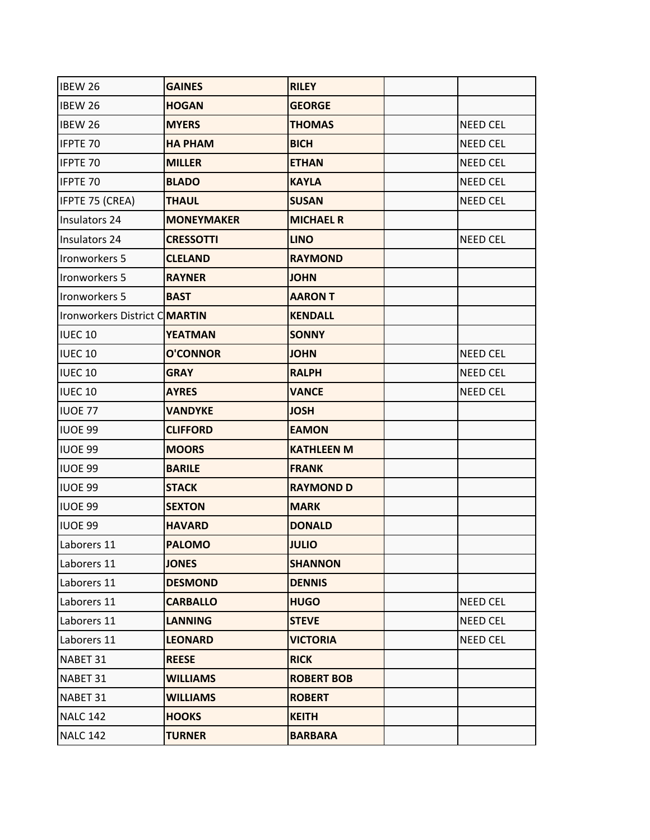| IBEW 26                              | <b>GAINES</b>     | <b>RILEY</b>      |                 |
|--------------------------------------|-------------------|-------------------|-----------------|
| <b>IBEW 26</b>                       | <b>HOGAN</b>      | <b>GEORGE</b>     |                 |
| <b>IBEW 26</b>                       | <b>MYERS</b>      | <b>THOMAS</b>     | <b>NEED CEL</b> |
| <b>IFPTE 70</b>                      | <b>HA PHAM</b>    | <b>BICH</b>       | <b>NEED CEL</b> |
| <b>IFPTE 70</b>                      | <b>MILLER</b>     | <b>ETHAN</b>      | <b>NEED CEL</b> |
| <b>IFPTE 70</b>                      | <b>BLADO</b>      | <b>KAYLA</b>      | <b>NEED CEL</b> |
| IFPTE 75 (CREA)                      | <b>THAUL</b>      | <b>SUSAN</b>      | <b>NEED CEL</b> |
| Insulators 24                        | <b>MONEYMAKER</b> | <b>MICHAEL R</b>  |                 |
| Insulators 24                        | <b>CRESSOTTI</b>  | <b>LINO</b>       | <b>NEED CEL</b> |
| Ironworkers 5                        | <b>CLELAND</b>    | <b>RAYMOND</b>    |                 |
| Ironworkers 5                        | <b>RAYNER</b>     | <b>JOHN</b>       |                 |
| Ironworkers 5                        | <b>BAST</b>       | <b>AARON T</b>    |                 |
| Ironworkers District C <b>MARTIN</b> |                   | <b>KENDALL</b>    |                 |
| <b>IUEC10</b>                        | <b>YEATMAN</b>    | <b>SONNY</b>      |                 |
| <b>IUEC 10</b>                       | <b>O'CONNOR</b>   | <b>JOHN</b>       | <b>NEED CEL</b> |
| <b>IUEC 10</b>                       | <b>GRAY</b>       | <b>RALPH</b>      | <b>NEED CEL</b> |
| <b>IUEC 10</b>                       | <b>AYRES</b>      | <b>VANCE</b>      | <b>NEED CEL</b> |
| <b>IUOE 77</b>                       | <b>VANDYKE</b>    | <b>JOSH</b>       |                 |
| <b>IUOE 99</b>                       | <b>CLIFFORD</b>   | <b>EAMON</b>      |                 |
| <b>IUOE 99</b>                       | <b>MOORS</b>      | <b>KATHLEEN M</b> |                 |
| <b>IUOE 99</b>                       | <b>BARILE</b>     | <b>FRANK</b>      |                 |
| <b>IUOE 99</b>                       | <b>STACK</b>      | <b>RAYMOND D</b>  |                 |
| <b>IUOE 99</b>                       | <b>SEXTON</b>     | <b>MARK</b>       |                 |
| <b>IUOE 99</b>                       | <b>HAVARD</b>     | <b>DONALD</b>     |                 |
| Laborers 11                          | <b>PALOMO</b>     | <b>JULIO</b>      |                 |
| Laborers 11                          | <b>JONES</b>      | <b>SHANNON</b>    |                 |
| Laborers 11                          | <b>DESMOND</b>    | <b>DENNIS</b>     |                 |
| Laborers 11                          | <b>CARBALLO</b>   | <b>HUGO</b>       | NEED CEL        |
| Laborers 11                          | <b>LANNING</b>    | <b>STEVE</b>      | NEED CEL        |
| Laborers 11                          | <b>LEONARD</b>    | <b>VICTORIA</b>   | <b>NEED CEL</b> |
| NABET 31                             | <b>REESE</b>      | <b>RICK</b>       |                 |
| NABET 31                             | <b>WILLIAMS</b>   | <b>ROBERT BOB</b> |                 |
| NABET 31                             | <b>WILLIAMS</b>   | <b>ROBERT</b>     |                 |
| <b>NALC 142</b>                      | <b>HOOKS</b>      | <b>KEITH</b>      |                 |
| <b>NALC 142</b>                      | <b>TURNER</b>     | <b>BARBARA</b>    |                 |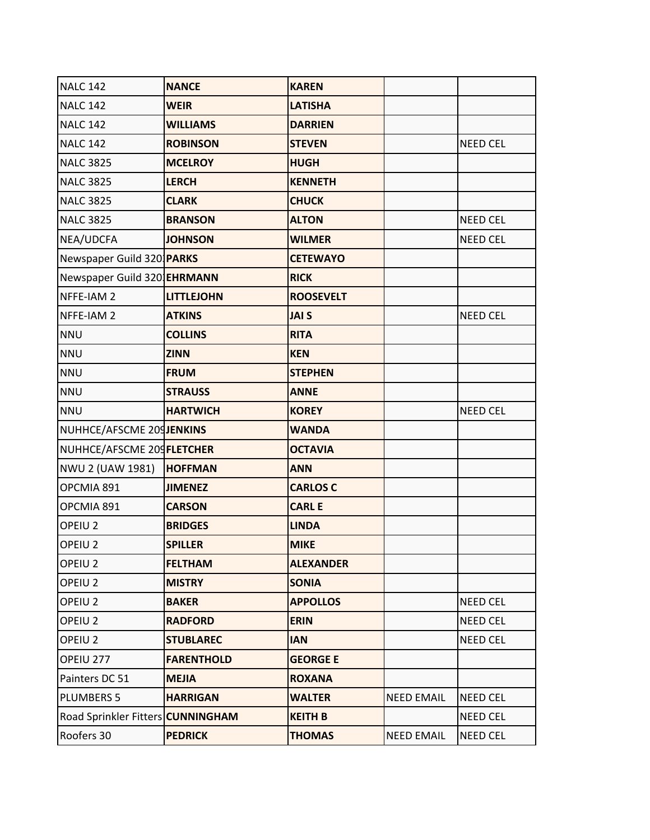| <b>NALC 142</b>                    | <b>NANCE</b>      | <b>KAREN</b>     |                   |                 |
|------------------------------------|-------------------|------------------|-------------------|-----------------|
| <b>NALC 142</b>                    | <b>WEIR</b>       | <b>LATISHA</b>   |                   |                 |
| <b>NALC 142</b>                    | <b>WILLIAMS</b>   | <b>DARRIEN</b>   |                   |                 |
| <b>NALC 142</b>                    | <b>ROBINSON</b>   | <b>STEVEN</b>    |                   | <b>NEED CEL</b> |
| <b>NALC 3825</b>                   | <b>MCELROY</b>    | <b>HUGH</b>      |                   |                 |
| <b>NALC 3825</b>                   | <b>LERCH</b>      | <b>KENNETH</b>   |                   |                 |
| <b>NALC 3825</b>                   | <b>CLARK</b>      | <b>CHUCK</b>     |                   |                 |
| <b>NALC 3825</b>                   | <b>BRANSON</b>    | <b>ALTON</b>     |                   | <b>NEED CEL</b> |
| NEA/UDCFA                          | <b>JOHNSON</b>    | <b>WILMER</b>    |                   | <b>NEED CEL</b> |
| Newspaper Guild 320 PARKS          |                   | <b>CETEWAYO</b>  |                   |                 |
| Newspaper Guild 320 <b>EHRMANN</b> |                   | <b>RICK</b>      |                   |                 |
| NFFE-IAM 2                         | <b>LITTLEJOHN</b> | <b>ROOSEVELT</b> |                   |                 |
| NFFE-IAM 2                         | <b>ATKINS</b>     | <b>JAI S</b>     |                   | <b>NEED CEL</b> |
| <b>NNU</b>                         | <b>COLLINS</b>    | <b>RITA</b>      |                   |                 |
| <b>NNU</b>                         | <b>ZINN</b>       | <b>KEN</b>       |                   |                 |
| <b>NNU</b>                         | <b>FRUM</b>       | <b>STEPHEN</b>   |                   |                 |
| <b>NNU</b>                         | <b>STRAUSS</b>    | <b>ANNE</b>      |                   |                 |
| <b>NNU</b>                         | <b>HARTWICH</b>   | <b>KOREY</b>     |                   | <b>NEED CEL</b> |
| NUHHCE/AFSCME 209JENKINS           |                   | <b>WANDA</b>     |                   |                 |
| NUHHCE/AFSCME 209 FLETCHER         |                   | <b>OCTAVIA</b>   |                   |                 |
| NWU 2 (UAW 1981)                   | <b>HOFFMAN</b>    | <b>ANN</b>       |                   |                 |
| OPCMIA 891                         | <b>JIMENEZ</b>    | <b>CARLOS C</b>  |                   |                 |
| OPCMIA 891                         | <b>CARSON</b>     | <b>CARL E</b>    |                   |                 |
| OPEIU <sub>2</sub>                 | <b>BRIDGES</b>    | <b>LINDA</b>     |                   |                 |
| OPEIU <sub>2</sub>                 | <b>SPILLER</b>    | <b>MIKE</b>      |                   |                 |
| OPEIU <sub>2</sub>                 | <b>FELTHAM</b>    | <b>ALEXANDER</b> |                   |                 |
| OPEIU <sub>2</sub>                 | <b>MISTRY</b>     | <b>SONIA</b>     |                   |                 |
| OPEIU <sub>2</sub>                 | <b>BAKER</b>      | <b>APPOLLOS</b>  |                   | <b>NEED CEL</b> |
| OPEIU <sub>2</sub>                 | <b>RADFORD</b>    | <b>ERIN</b>      |                   | <b>NEED CEL</b> |
| OPEIU <sub>2</sub>                 | <b>STUBLAREC</b>  | <b>IAN</b>       |                   | <b>NEED CEL</b> |
| OPEIU 277                          | <b>FARENTHOLD</b> | <b>GEORGE E</b>  |                   |                 |
| Painters DC 51                     | <b>MEJIA</b>      | <b>ROXANA</b>    |                   |                 |
| <b>PLUMBERS 5</b>                  | <b>HARRIGAN</b>   | <b>WALTER</b>    | <b>NEED EMAIL</b> | <b>NEED CEL</b> |
| Road Sprinkler Fitters CUNNINGHAM  |                   | <b>KEITH B</b>   |                   | <b>NEED CEL</b> |
| Roofers 30                         | <b>PEDRICK</b>    | <b>THOMAS</b>    | <b>NEED EMAIL</b> | <b>NEED CEL</b> |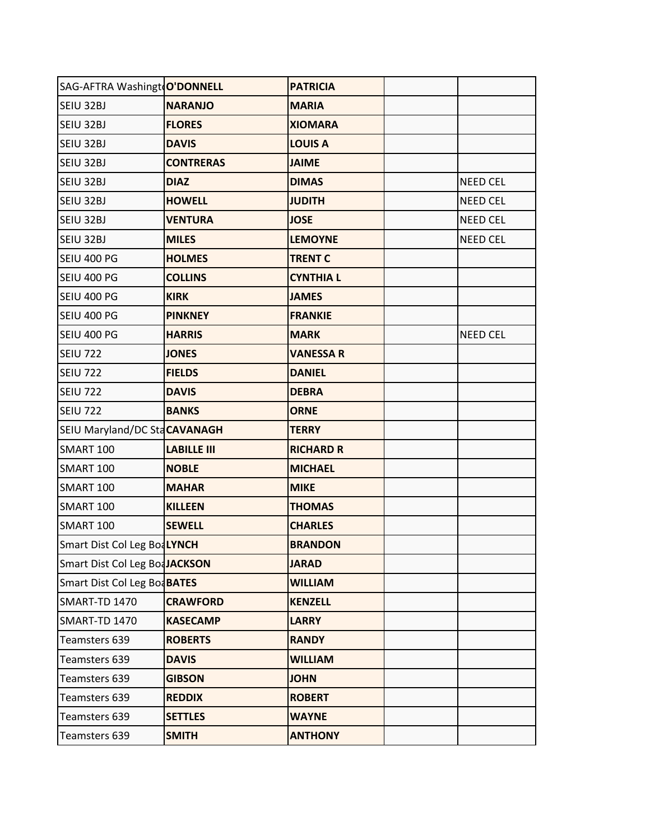| SAG-AFTRA Washingt O'DONNELL  |                    | <b>PATRICIA</b>  |                 |
|-------------------------------|--------------------|------------------|-----------------|
| SEIU 32BJ                     | <b>NARANJO</b>     | <b>MARIA</b>     |                 |
| SEIU 32BJ                     | <b>FLORES</b>      | <b>XIOMARA</b>   |                 |
| SEIU 32BJ                     | <b>DAVIS</b>       | <b>LOUIS A</b>   |                 |
| SEIU 32BJ                     | <b>CONTRERAS</b>   | <b>JAIME</b>     |                 |
| SEIU 32BJ                     | <b>DIAZ</b>        | <b>DIMAS</b>     | <b>NEED CEL</b> |
| SEIU 32BJ                     | <b>HOWELL</b>      | <b>JUDITH</b>    | <b>NEED CEL</b> |
| SEIU 32BJ                     | <b>VENTURA</b>     | <b>JOSE</b>      | <b>NEED CEL</b> |
| SEIU 32BJ                     | <b>MILES</b>       | <b>LEMOYNE</b>   | <b>NEED CEL</b> |
| SEIU 400 PG                   | <b>HOLMES</b>      | <b>TRENT C</b>   |                 |
| SEIU 400 PG                   | <b>COLLINS</b>     | <b>CYNTHIA L</b> |                 |
| SEIU 400 PG                   | <b>KIRK</b>        | <b>JAMES</b>     |                 |
| SEIU 400 PG                   | <b>PINKNEY</b>     | <b>FRANKIE</b>   |                 |
| SEIU 400 PG                   | <b>HARRIS</b>      | <b>MARK</b>      | <b>NEED CEL</b> |
| <b>SEIU 722</b>               | <b>JONES</b>       | <b>VANESSA R</b> |                 |
| <b>SEIU 722</b>               | <b>FIELDS</b>      | <b>DANIEL</b>    |                 |
| <b>SEIU 722</b>               | <b>DAVIS</b>       | <b>DEBRA</b>     |                 |
| <b>SEIU 722</b>               | <b>BANKS</b>       | <b>ORNE</b>      |                 |
| SEIU Maryland/DC StaCAVANAGH  |                    | <b>TERRY</b>     |                 |
| <b>SMART 100</b>              | <b>LABILLE III</b> | <b>RICHARD R</b> |                 |
| <b>SMART 100</b>              | <b>NOBLE</b>       | <b>MICHAEL</b>   |                 |
| <b>SMART 100</b>              | <b>MAHAR</b>       | <b>MIKE</b>      |                 |
| <b>SMART 100</b>              | <b>KILLEEN</b>     | <b>THOMAS</b>    |                 |
| <b>SMART 100</b>              | <b>SEWELL</b>      | <b>CHARLES</b>   |                 |
| Smart Dist Col Leg BoaLYNCH   |                    | <b>BRANDON</b>   |                 |
| Smart Dist Col Leg BoaJACKSON |                    | <b>JARAD</b>     |                 |
| Smart Dist Col Leg Bod BATES  |                    | <b>WILLIAM</b>   |                 |
| SMART-TD 1470                 | <b>CRAWFORD</b>    | <b>KENZELL</b>   |                 |
| <b>SMART-TD 1470</b>          | <b>KASECAMP</b>    | <b>LARRY</b>     |                 |
| Teamsters 639                 | <b>ROBERTS</b>     | <b>RANDY</b>     |                 |
| Teamsters 639                 | <b>DAVIS</b>       | <b>WILLIAM</b>   |                 |
| Teamsters 639                 | <b>GIBSON</b>      | <b>JOHN</b>      |                 |
| Teamsters 639                 | <b>REDDIX</b>      | <b>ROBERT</b>    |                 |
| Teamsters 639                 | <b>SETTLES</b>     | <b>WAYNE</b>     |                 |
| Teamsters 639                 | <b>SMITH</b>       | <b>ANTHONY</b>   |                 |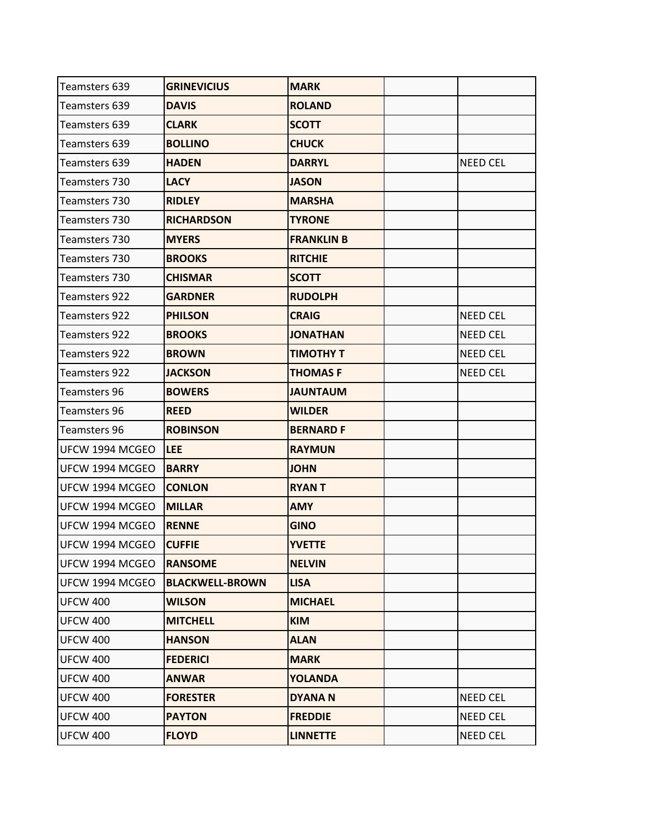| Teamsters 639        | <b>GRINEVICIUS</b>     | <b>MARK</b>       |                 |
|----------------------|------------------------|-------------------|-----------------|
| Teamsters 639        | <b>DAVIS</b>           | <b>ROLAND</b>     |                 |
| Teamsters 639        | <b>CLARK</b>           | <b>SCOTT</b>      |                 |
| Teamsters 639        | <b>BOLLINO</b>         | <b>CHUCK</b>      |                 |
| Teamsters 639        | <b>HADEN</b>           | <b>DARRYL</b>     | <b>NEED CEL</b> |
| <b>Teamsters 730</b> | <b>LACY</b>            | <b>JASON</b>      |                 |
| <b>Teamsters 730</b> | <b>RIDLEY</b>          | <b>MARSHA</b>     |                 |
| <b>Teamsters 730</b> | <b>RICHARDSON</b>      | <b>TYRONE</b>     |                 |
| <b>Teamsters 730</b> | <b>MYERS</b>           | <b>FRANKLIN B</b> |                 |
| <b>Teamsters 730</b> | <b>BROOKS</b>          | <b>RITCHIE</b>    |                 |
| Teamsters 730        | <b>CHISMAR</b>         | <b>SCOTT</b>      |                 |
| <b>Teamsters 922</b> | <b>GARDNER</b>         | <b>RUDOLPH</b>    |                 |
| <b>Teamsters 922</b> | <b>PHILSON</b>         | <b>CRAIG</b>      | <b>NEED CEL</b> |
| <b>Teamsters 922</b> | <b>BROOKS</b>          | <b>JONATHAN</b>   | <b>NEED CEL</b> |
| <b>Teamsters 922</b> | <b>BROWN</b>           | <b>TIMOTHY T</b>  | <b>NEED CEL</b> |
| <b>Teamsters 922</b> | <b>JACKSON</b>         | <b>THOMASF</b>    | <b>NEED CEL</b> |
| <b>Teamsters 96</b>  | <b>BOWERS</b>          | <b>JAUNTAUM</b>   |                 |
| <b>Teamsters 96</b>  | <b>REED</b>            | <b>WILDER</b>     |                 |
| <b>Teamsters 96</b>  | <b>ROBINSON</b>        | <b>BERNARD F</b>  |                 |
| UFCW 1994 MCGEO      | <b>LEE</b>             | <b>RAYMUN</b>     |                 |
| UFCW 1994 MCGEO      | <b>BARRY</b>           | <b>JOHN</b>       |                 |
| UFCW 1994 MCGEO      | <b>CONLON</b>          | <b>RYANT</b>      |                 |
| UFCW 1994 MCGEO      | <b>MILLAR</b>          | <b>AMY</b>        |                 |
| UFCW 1994 MCGEO      | <b>RENNE</b>           | <b>GINO</b>       |                 |
| UFCW 1994 MCGEO      | <b>CUFFIE</b>          | <b>YVETTE</b>     |                 |
| UFCW 1994 MCGEO      | <b>RANSOME</b>         | <b>NELVIN</b>     |                 |
| UFCW 1994 MCGEO      | <b>BLACKWELL-BROWN</b> | <b>LISA</b>       |                 |
| <b>UFCW 400</b>      | <b>WILSON</b>          | <b>MICHAEL</b>    |                 |
| <b>UFCW 400</b>      | <b>MITCHELL</b>        | <b>KIM</b>        |                 |
| <b>UFCW 400</b>      | <b>HANSON</b>          | <b>ALAN</b>       |                 |
| <b>UFCW 400</b>      | <b>FEDERICI</b>        | <b>MARK</b>       |                 |
| <b>UFCW 400</b>      | <b>ANWAR</b>           | <b>YOLANDA</b>    |                 |
| <b>UFCW 400</b>      | <b>FORESTER</b>        | <b>DYANAN</b>     | <b>NEED CEL</b> |
| <b>UFCW 400</b>      | <b>PAYTON</b>          | <b>FREDDIE</b>    | NEED CEL        |
| <b>UFCW 400</b>      | <b>FLOYD</b>           | <b>LINNETTE</b>   | NEED CEL        |